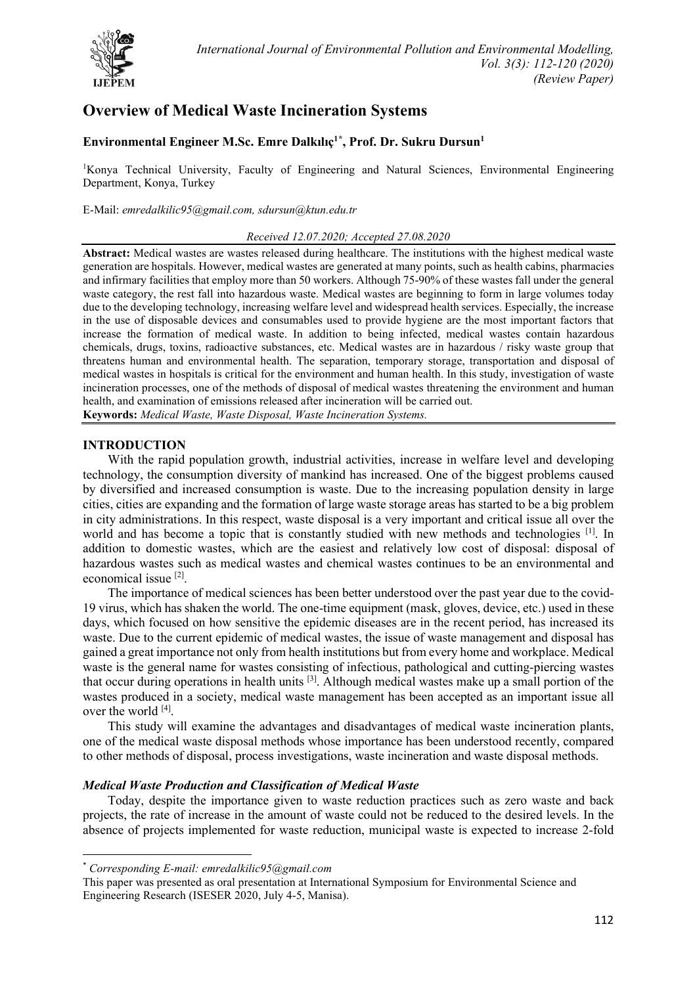

# **Overview of Medical Waste Incineration Systems**

# **Environmental Engineer M.Sc. Emre Dalkılıç1[\\*](#page-0-0) , Prof. Dr. Sukru Dursun1**

<sup>1</sup>Konya Technical University, Faculty of Engineering and Natural Sciences, Environmental Engineering Department, Konya, Turkey

E-Mail: *emredalkilic95@gmail.com, sdursun@ktun.edu.tr*

### *Received 12.07.2020; Accepted 27.08.2020*

**Abstract:** Medical wastes are wastes released during healthcare. The institutions with the highest medical waste generation are hospitals. However, medical wastes are generated at many points, such as health cabins, pharmacies and infirmary facilities that employ more than 50 workers. Although 75-90% of these wastes fall under the general waste category, the rest fall into hazardous waste. Medical wastes are beginning to form in large volumes today due to the developing technology, increasing welfare level and widespread health services. Especially, the increase in the use of disposable devices and consumables used to provide hygiene are the most important factors that increase the formation of medical waste. In addition to being infected, medical wastes contain hazardous chemicals, drugs, toxins, radioactive substances, etc. Medical wastes are in hazardous / risky waste group that threatens human and environmental health. The separation, temporary storage, transportation and disposal of medical wastes in hospitals is critical for the environment and human health. In this study, investigation of waste incineration processes, one of the methods of disposal of medical wastes threatening the environment and human health, and examination of emissions released after incineration will be carried out.

**Keywords:** *Medical Waste, Waste Disposal, Waste Incineration Systems.*

# **INTRODUCTION**

With the rapid population growth, industrial activities, increase in welfare level and developing technology, the consumption diversity of mankind has increased. One of the biggest problems caused by diversified and increased consumption is waste. Due to the increasing population density in large cities, cities are expanding and the formation of large waste storage areas has started to be a big problem in city administrations. In this respect, waste disposal is a very important and critical issue all over the world and has become a topic that is constantly studied with new methods and technologies <sup>[1]</sup>. In addition to domestic wastes, which are the easiest and relatively low cost of disposal: disposal of hazardous wastes such as medical wastes and chemical wastes continues to be an environmental and economical issue [2].

The importance of medical sciences has been better understood over the past year due to the covid-19 virus, which has shaken the world. The one-time equipment (mask, gloves, device, etc.) used in these days, which focused on how sensitive the epidemic diseases are in the recent period, has increased its waste. Due to the current epidemic of medical wastes, the issue of waste management and disposal has gained a great importance not only from health institutions but from every home and workplace. Medical waste is the general name for wastes consisting of infectious, pathological and cutting-piercing wastes that occur during operations in health units [3]. Although medical wastes make up a small portion of the wastes produced in a society, medical waste management has been accepted as an important issue all over the world [4].

This study will examine the advantages and disadvantages of medical waste incineration plants, one of the medical waste disposal methods whose importance has been understood recently, compared to other methods of disposal, process investigations, waste incineration and waste disposal methods.

# *Medical Waste Production and Classification of Medical Waste*

Today, despite the importance given to waste reduction practices such as zero waste and back projects, the rate of increase in the amount of waste could not be reduced to the desired levels. In the absence of projects implemented for waste reduction, municipal waste is expected to increase 2-fold

<span id="page-0-0"></span><sup>\*</sup> *Corresponding E-mail: emredalkilic95@gmail.com*

This paper was presented as oral presentation at International Symposium for Environmental Science and Engineering Research (ISESER 2020, July 4-5, Manisa).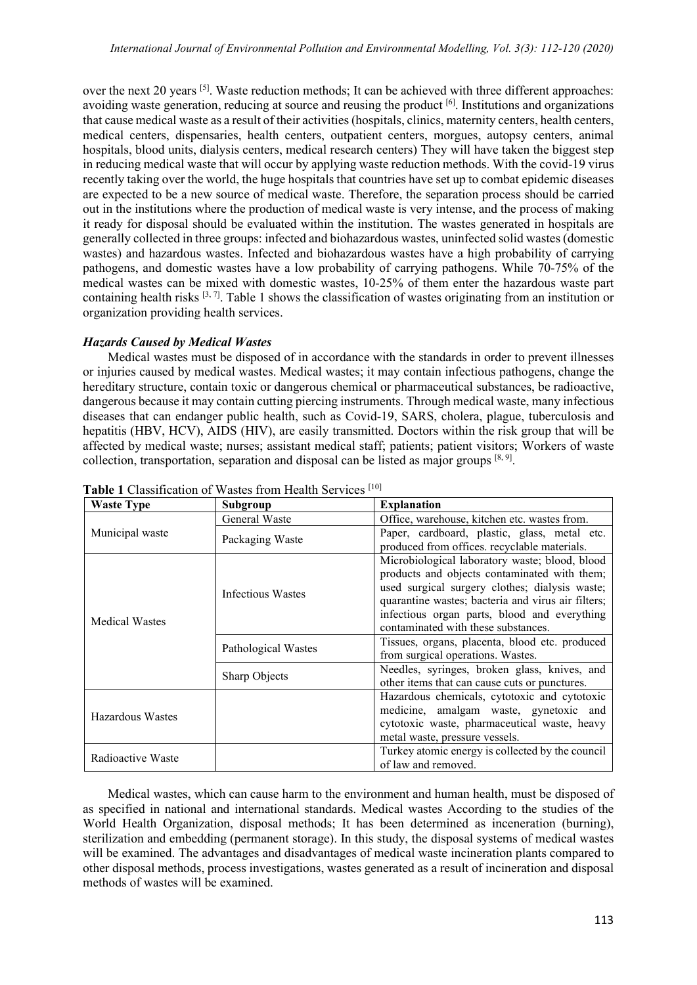over the next 20 years [5]. Waste reduction methods; It can be achieved with three different approaches: avoiding waste generation, reducing at source and reusing the product <sup>[6]</sup>. Institutions and organizations that cause medical waste as a result of their activities (hospitals, clinics, maternity centers, health centers, medical centers, dispensaries, health centers, outpatient centers, morgues, autopsy centers, animal hospitals, blood units, dialysis centers, medical research centers) They will have taken the biggest step in reducing medical waste that will occur by applying waste reduction methods. With the covid-19 virus recently taking over the world, the huge hospitals that countries have set up to combat epidemic diseases are expected to be a new source of medical waste. Therefore, the separation process should be carried out in the institutions where the production of medical waste is very intense, and the process of making it ready for disposal should be evaluated within the institution. The wastes generated in hospitals are generally collected in three groups: infected and biohazardous wastes, uninfected solid wastes (domestic wastes) and hazardous wastes. Infected and biohazardous wastes have a high probability of carrying pathogens, and domestic wastes have a low probability of carrying pathogens. While 70-75% of the medical wastes can be mixed with domestic wastes, 10-25% of them enter the hazardous waste part containing health risks  $[3, 7]$ . Table 1 shows the classification of wastes originating from an institution or organization providing health services.

# *Hazards Caused by Medical Wastes*

Medical wastes must be disposed of in accordance with the standards in order to prevent illnesses or injuries caused by medical wastes. Medical wastes; it may contain infectious pathogens, change the hereditary structure, contain toxic or dangerous chemical or pharmaceutical substances, be radioactive, dangerous because it may contain cutting piercing instruments. Through medical waste, many infectious diseases that can endanger public health, such as Covid-19, SARS, cholera, plague, tuberculosis and hepatitis (HBV, HCV), AIDS (HIV), are easily transmitted. Doctors within the risk group that will be affected by medical waste; nurses; assistant medical staff; patients; patient visitors; Workers of waste collection, transportation, separation and disposal can be listed as major groups  $[8, 9]$ .

| <b>Waste Type</b>     | Subgroup            | <b>Explanation</b>                                                                                                                                                                                                                                                                            |
|-----------------------|---------------------|-----------------------------------------------------------------------------------------------------------------------------------------------------------------------------------------------------------------------------------------------------------------------------------------------|
| Municipal waste       | General Waste       | Office, warehouse, kitchen etc. wastes from.                                                                                                                                                                                                                                                  |
|                       | Packaging Waste     | Paper, cardboard, plastic, glass, metal etc.<br>produced from offices. recyclable materials.                                                                                                                                                                                                  |
| <b>Medical Wastes</b> | Infectious Wastes   | Microbiological laboratory waste; blood, blood<br>products and objects contaminated with them;<br>used surgical surgery clothes; dialysis waste;<br>quarantine wastes; bacteria and virus air filters;<br>infectious organ parts, blood and everything<br>contaminated with these substances. |
|                       | Pathological Wastes | Tissues, organs, placenta, blood etc. produced<br>from surgical operations. Wastes.                                                                                                                                                                                                           |
|                       | Sharp Objects       | Needles, syringes, broken glass, knives, and<br>other items that can cause cuts or punctures.                                                                                                                                                                                                 |
| Hazardous Wastes      |                     | Hazardous chemicals, cytotoxic and cytotoxic<br>medicine, amalgam waste, gynetoxic and<br>cytotoxic waste, pharmaceutical waste, heavy<br>metal waste, pressure vessels.                                                                                                                      |
| Radioactive Waste     |                     | Turkey atomic energy is collected by the council<br>of law and removed.                                                                                                                                                                                                                       |

**Table 1** Classification of Wastes from Health Services [10]

Medical wastes, which can cause harm to the environment and human health, must be disposed of as specified in national and international standards. Medical wastes According to the studies of the World Health Organization, disposal methods; It has been determined as inceneration (burning), sterilization and embedding (permanent storage). In this study, the disposal systems of medical wastes will be examined. The advantages and disadvantages of medical waste incineration plants compared to other disposal methods, process investigations, wastes generated as a result of incineration and disposal methods of wastes will be examined.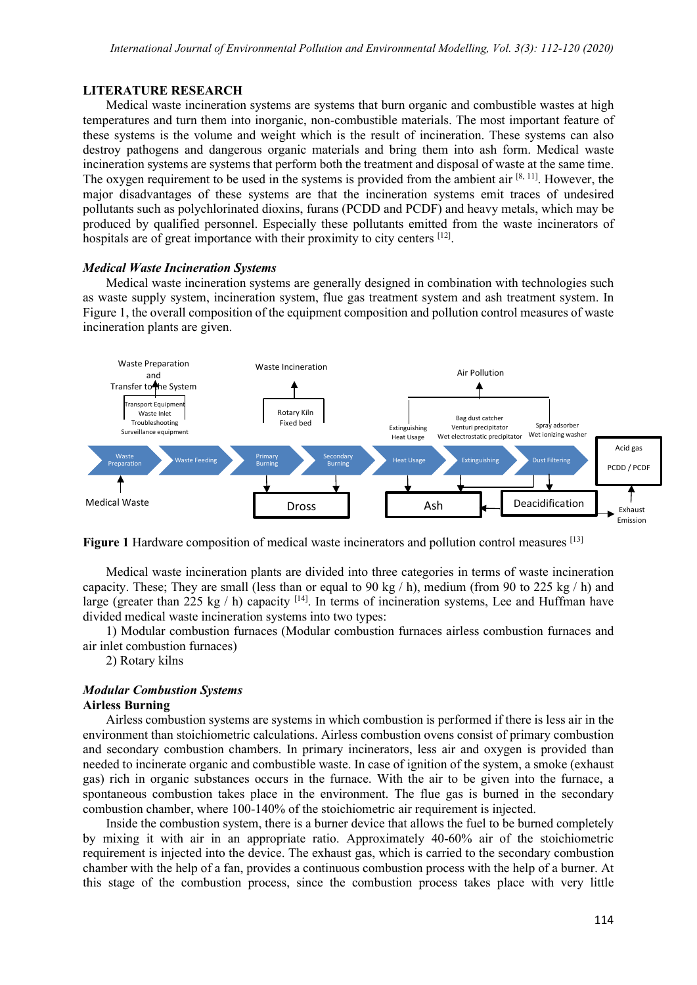### **LITERATURE RESEARCH**

Medical waste incineration systems are systems that burn organic and combustible wastes at high temperatures and turn them into inorganic, non-combustible materials. The most important feature of these systems is the volume and weight which is the result of incineration. These systems can also destroy pathogens and dangerous organic materials and bring them into ash form. Medical waste incineration systems are systems that perform both the treatment and disposal of waste at the same time. The oxygen requirement to be used in the systems is provided from the ambient air  $[8, 11]$ . However, the major disadvantages of these systems are that the incineration systems emit traces of undesired pollutants such as polychlorinated dioxins, furans (PCDD and PCDF) and heavy metals, which may be produced by qualified personnel. Especially these pollutants emitted from the waste incinerators of hospitals are of great importance with their proximity to city centers [12].

### *Medical Waste Incineration Systems*

Medical waste incineration systems are generally designed in combination with technologies such as waste supply system, incineration system, flue gas treatment system and ash treatment system. In Figure 1, the overall composition of the equipment composition and pollution control measures of waste incineration plants are given.



**Figure 1** Hardware composition of medical waste incinerators and pollution control measures [13]

Medical waste incineration plants are divided into three categories in terms of waste incineration capacity. These; They are small (less than or equal to 90 kg / h), medium (from 90 to 225 kg / h) and large (greater than 225 kg / h) capacity  $[14]$ . In terms of incineration systems, Lee and Huffman have divided medical waste incineration systems into two types:

1) Modular combustion furnaces (Modular combustion furnaces airless combustion furnaces and air inlet combustion furnaces)

2) Rotary kilns

# *Modular Combustion Systems*

### **Airless Burning**

Airless combustion systems are systems in which combustion is performed if there is less air in the environment than stoichiometric calculations. Airless combustion ovens consist of primary combustion and secondary combustion chambers. In primary incinerators, less air and oxygen is provided than needed to incinerate organic and combustible waste. In case of ignition of the system, a smoke (exhaust gas) rich in organic substances occurs in the furnace. With the air to be given into the furnace, a spontaneous combustion takes place in the environment. The flue gas is burned in the secondary combustion chamber, where 100-140% of the stoichiometric air requirement is injected.

Inside the combustion system, there is a burner device that allows the fuel to be burned completely by mixing it with air in an appropriate ratio. Approximately 40-60% air of the stoichiometric requirement is injected into the device. The exhaust gas, which is carried to the secondary combustion chamber with the help of a fan, provides a continuous combustion process with the help of a burner. At this stage of the combustion process, since the combustion process takes place with very little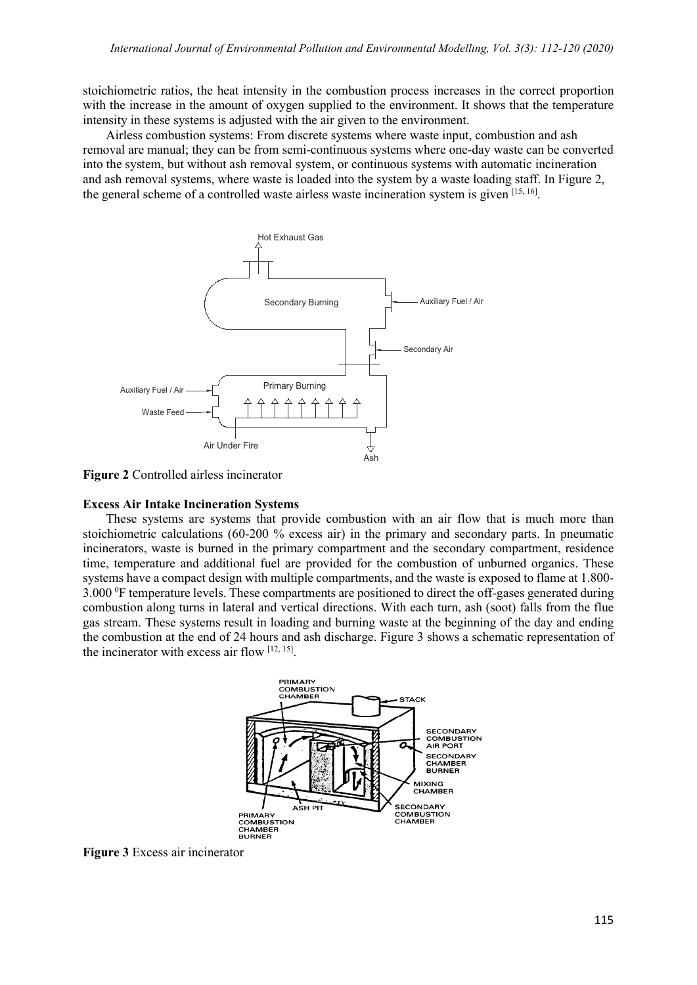stoichiometric ratios, the heat intensity in the combustion process increases in the correct proportion with the increase in the amount of oxygen supplied to the environment. It shows that the temperature intensity in these systems is adjusted with the air given to the environment.

Airless combustion systems: From discrete systems where waste input, combustion and ash removal are manual; they can be from semi-continuous systems where one-day waste can be converted into the system, but without ash removal system, or continuous systems with automatic incineration and ash removal systems, where waste is loaded into the system by a waste loading staff. In Figure 2, the general scheme of a controlled waste airless waste incineration system is given  $[15, 16]$ .



**Figure 2** Controlled airless incinerator

# **Excess Air Intake Incineration Systems**

These systems are systems that provide combustion with an air flow that is much more than stoichiometric calculations  $(60-200\%$  excess air) in the primary and secondary parts. In pneumatic incinerators, waste is burned in the primary compartment and the secondary compartment, residence time, temperature and additional fuel are provided for the combustion of unburned organics. These systems have a compact design with multiple compartments, and the waste is exposed to flame at 1.800-  $3.000\text{ }^{\circ}\text{F}$  temperature levels. These compartments are positioned to direct the off-gases generated during combustion along turns in lateral and vertical directions. With each turn, ash (soot) falls from the flue gas stream. These systems result in loading and burning waste at the beginning of the day and ending the combustion at the end of 24 hours and ash discharge. Figure 3 shows a schematic representation of the incinerator with excess air flow  $[12, 15]$ .



**Figure 3** Excess air incinerator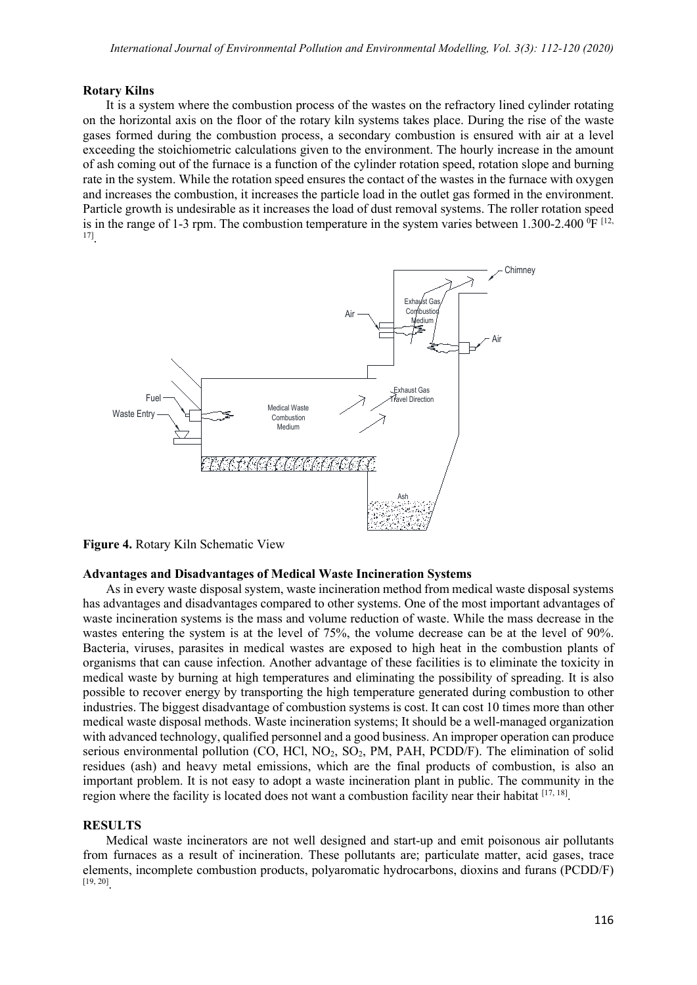#### **Rotary Kilns**

It is a system where the combustion process of the wastes on the refractory lined cylinder rotating on the horizontal axis on the floor of the rotary kiln systems takes place. During the rise of the waste gases formed during the combustion process, a secondary combustion is ensured with air at a level exceeding the stoichiometric calculations given to the environment. The hourly increase in the amount of ash coming out of the furnace is a function of the cylinder rotation speed, rotation slope and burning rate in the system. While the rotation speed ensures the contact of the wastes in the furnace with oxygen and increases the combustion, it increases the particle load in the outlet gas formed in the environment. Particle growth is undesirable as it increases the load of dust removal systems. The roller rotation speed is in the range of 1-3 rpm. The combustion temperature in the system varies between 1.300-2.400 <sup>o</sup>F <sup>[12,</sup> 17].



**Figure 4.** Rotary Kiln Schematic View

#### **Advantages and Disadvantages of Medical Waste Incineration Systems**

As in every waste disposal system, waste incineration method from medical waste disposal systems has advantages and disadvantages compared to other systems. One of the most important advantages of waste incineration systems is the mass and volume reduction of waste. While the mass decrease in the wastes entering the system is at the level of 75%, the volume decrease can be at the level of 90%. Bacteria, viruses, parasites in medical wastes are exposed to high heat in the combustion plants of organisms that can cause infection. Another advantage of these facilities is to eliminate the toxicity in medical waste by burning at high temperatures and eliminating the possibility of spreading. It is also possible to recover energy by transporting the high temperature generated during combustion to other industries. The biggest disadvantage of combustion systems is cost. It can cost 10 times more than other medical waste disposal methods. Waste incineration systems; It should be a well-managed organization with advanced technology, qualified personnel and a good business. An improper operation can produce serious environmental pollution (CO, HCl,  $NO_2$ ,  $SO_2$ , PM, PAH, PCDD/F). The elimination of solid residues (ash) and heavy metal emissions, which are the final products of combustion, is also an important problem. It is not easy to adopt a waste incineration plant in public. The community in the region where the facility is located does not want a combustion facility near their habitat  $^{[17, 18]}$ .

# **RESULTS**

Medical waste incinerators are not well designed and start-up and emit poisonous air pollutants from furnaces as a result of incineration. These pollutants are; particulate matter, acid gases, trace elements, incomplete combustion products, polyaromatic hydrocarbons, dioxins and furans (PCDD/F) [19, 20].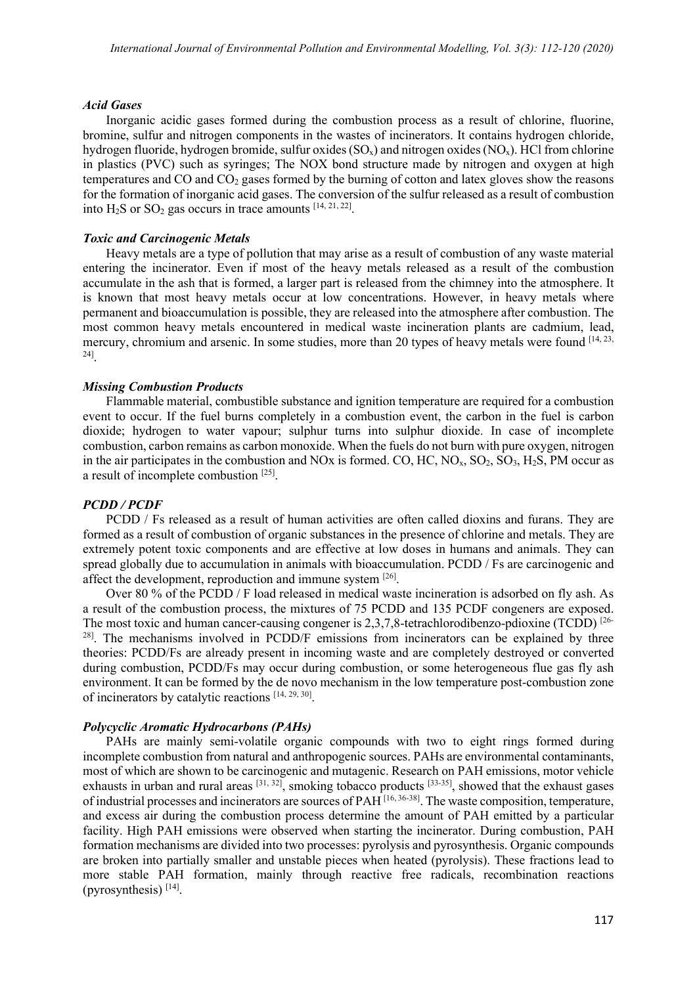#### *Acid Gases*

Inorganic acidic gases formed during the combustion process as a result of chlorine, fluorine, bromine, sulfur and nitrogen components in the wastes of incinerators. It contains hydrogen chloride, hydrogen fluoride, hydrogen bromide, sulfur oxides (SO<sub>x</sub>) and nitrogen oxides (NO<sub>x</sub>). HCl from chlorine in plastics (PVC) such as syringes; The NOX bond structure made by nitrogen and oxygen at high temperatures and CO and CO<sub>2</sub> gases formed by the burning of cotton and latex gloves show the reasons for the formation of inorganic acid gases. The conversion of the sulfur released as a result of combustion into  $H_2S$  or  $SO_2$  gas occurs in trace amounts  $[14, 21, 22]$ .

#### *Toxic and Carcinogenic Metals*

Heavy metals are a type of pollution that may arise as a result of combustion of any waste material entering the incinerator. Even if most of the heavy metals released as a result of the combustion accumulate in the ash that is formed, a larger part is released from the chimney into the atmosphere. It is known that most heavy metals occur at low concentrations. However, in heavy metals where permanent and bioaccumulation is possible, they are released into the atmosphere after combustion. The most common heavy metals encountered in medical waste incineration plants are cadmium, lead, mercury, chromium and arsenic. In some studies, more than 20 types of heavy metals were found  $^{[14, 23]}$ 24].

#### *Missing Combustion Products*

Flammable material, combustible substance and ignition temperature are required for a combustion event to occur. If the fuel burns completely in a combustion event, the carbon in the fuel is carbon dioxide; hydrogen to water vapour; sulphur turns into sulphur dioxide. In case of incomplete combustion, carbon remains as carbon monoxide. When the fuels do not burn with pure oxygen, nitrogen in the air participates in the combustion and NOx is formed. CO, HC,  $NO<sub>x</sub>$ ,  $SO<sub>2</sub>$ ,  $SO<sub>3</sub>$ ,  $H<sub>2</sub>$ S, PM occur as a result of incomplete combustion [25].

#### *PCDD / PCDF*

PCDD / Fs released as a result of human activities are often called dioxins and furans. They are formed as a result of combustion of organic substances in the presence of chlorine and metals. They are extremely potent toxic components and are effective at low doses in humans and animals. They can spread globally due to accumulation in animals with bioaccumulation. PCDD / Fs are carcinogenic and affect the development, reproduction and immune system [26].

Over 80 % of the PCDD / F load released in medical waste incineration is adsorbed on fly ash. As a result of the combustion process, the mixtures of 75 PCDD and 135 PCDF congeners are exposed. The most toxic and human cancer-causing congener is 2,3,7,8-tetrachlorodibenzo-pdioxine (TCDD) [26- <sup>28]</sup>. The mechanisms involved in PCDD/F emissions from incinerators can be explained by three theories: PCDD/Fs are already present in incoming waste and are completely destroyed or converted during combustion, PCDD/Fs may occur during combustion, or some heterogeneous flue gas fly ash environment. It can be formed by the de novo mechanism in the low temperature post-combustion zone of incinerators by catalytic reactions [14, 29, 30].

# *Polycyclic Aromatic Hydrocarbons (PAHs)*

PAHs are mainly semi-volatile organic compounds with two to eight rings formed during incomplete combustion from natural and anthropogenic sources. PAHs are environmental contaminants, most of which are shown to be carcinogenic and mutagenic. Research on PAH emissions, motor vehicle exhausts in urban and rural areas  $[31, 32]$ , smoking tobacco products  $[33-35]$ , showed that the exhaust gases of industrial processes and incinerators are sources of PAH [16, 36-38]. The waste composition, temperature, and excess air during the combustion process determine the amount of PAH emitted by a particular facility. High PAH emissions were observed when starting the incinerator. During combustion, PAH formation mechanisms are divided into two processes: pyrolysis and pyrosynthesis. Organic compounds are broken into partially smaller and unstable pieces when heated (pyrolysis). These fractions lead to more stable PAH formation, mainly through reactive free radicals, recombination reactions (pyrosynthesis)  $[14]$ .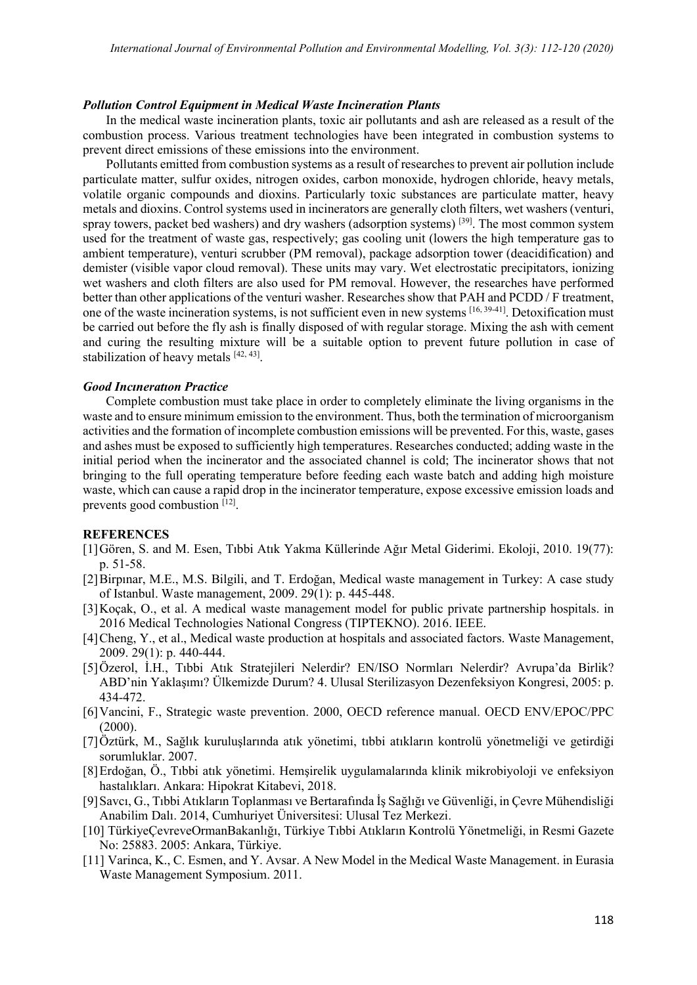#### *Pollution Control Equipment in Medical Waste Incineration Plants*

In the medical waste incineration plants, toxic air pollutants and ash are released as a result of the combustion process. Various treatment technologies have been integrated in combustion systems to prevent direct emissions of these emissions into the environment.

Pollutants emitted from combustion systems as a result of researches to prevent air pollution include particulate matter, sulfur oxides, nitrogen oxides, carbon monoxide, hydrogen chloride, heavy metals, volatile organic compounds and dioxins. Particularly toxic substances are particulate matter, heavy metals and dioxins. Control systems used in incinerators are generally cloth filters, wet washers (venturi, spray towers, packet bed washers) and dry washers (adsorption systems) [39]. The most common system used for the treatment of waste gas, respectively; gas cooling unit (lowers the high temperature gas to ambient temperature), venturi scrubber (PM removal), package adsorption tower (deacidification) and demister (visible vapor cloud removal). These units may vary. Wet electrostatic precipitators, ionizing wet washers and cloth filters are also used for PM removal. However, the researches have performed better than other applications of the venturi washer. Researches show that PAH and PCDD / F treatment, one of the waste incineration systems, is not sufficient even in new systems [16, 39-41]. Detoxification must be carried out before the fly ash is finally disposed of with regular storage. Mixing the ash with cement and curing the resulting mixture will be a suitable option to prevent future pollution in case of stabilization of heavy metals [42, 43].

#### *Good Incıneratıon Practice*

Complete combustion must take place in order to completely eliminate the living organisms in the waste and to ensure minimum emission to the environment. Thus, both the termination of microorganism activities and the formation of incomplete combustion emissions will be prevented. For this, waste, gases and ashes must be exposed to sufficiently high temperatures. Researches conducted; adding waste in the initial period when the incinerator and the associated channel is cold; The incinerator shows that not bringing to the full operating temperature before feeding each waste batch and adding high moisture waste, which can cause a rapid drop in the incinerator temperature, expose excessive emission loads and prevents good combustion  $[12]$ .

#### **REFERENCES**

- [1]Gören, S. and M. Esen, Tıbbi Atık Yakma Küllerinde Ağır Metal Giderimi. Ekoloji, 2010. 19(77): p. 51-58.
- [2]Birpınar, M.E., M.S. Bilgili, and T. Erdoğan, Medical waste management in Turkey: A case study of Istanbul. Waste management, 2009. 29(1): p. 445-448.
- [3]Koçak, O., et al. A medical waste management model for public private partnership hospitals. in 2016 Medical Technologies National Congress (TIPTEKNO). 2016. IEEE.
- [4]Cheng, Y., et al., Medical waste production at hospitals and associated factors. Waste Management, 2009. 29(1): p. 440-444.
- [5]Özerol, İ.H., Tıbbi Atık Stratejileri Nelerdir? EN/ISO Normları Nelerdir? Avrupa'da Birlik? ABD'nin Yaklaşımı? Ülkemizde Durum? 4. Ulusal Sterilizasyon Dezenfeksiyon Kongresi, 2005: p. 434-472.
- [6]Vancini, F., Strategic waste prevention. 2000, OECD reference manual. OECD ENV/EPOC/PPC  $(2000).$
- [7]Öztürk, M., Sağlık kuruluşlarında atık yönetimi, tıbbi atıkların kontrolü yönetmeliği ve getirdiği sorumluklar. 2007.
- [8]Erdoğan, Ö., Tıbbi atık yönetimi. Hemşirelik uygulamalarında klinik mikrobiyoloji ve enfeksiyon hastalıkları. Ankara: Hipokrat Kitabevi, 2018.
- [9]Savcı, G., Tıbbi Atıkların Toplanması ve Bertarafında İş Sağlığı ve Güvenliği, in Çevre Mühendisliği Anabilim Dalı. 2014, Cumhuriyet Üniversitesi: Ulusal Tez Merkezi.
- [10] TürkiyeÇevreveOrmanBakanlığı, Türkiye Tıbbi Atıkların Kontrolü Yönetmeliği, in Resmi Gazete No: 25883. 2005: Ankara, Türkiye.
- [11] Varinca, K., C. Esmen, and Y. Avsar. A New Model in the Medical Waste Management. in Eurasia Waste Management Symposium. 2011.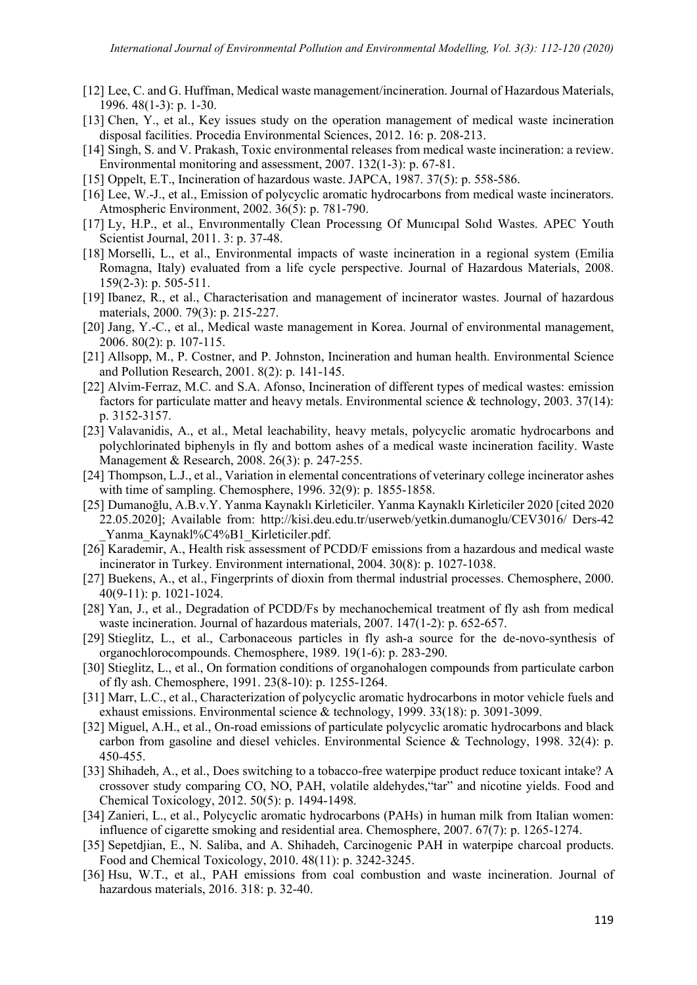- [12] Lee, C. and G. Huffman, Medical waste management/incineration. Journal of Hazardous Materials, 1996. 48(1-3): p. 1-30.
- [13] Chen, Y., et al., Key issues study on the operation management of medical waste incineration disposal facilities. Procedia Environmental Sciences, 2012. 16: p. 208-213.
- [14] Singh, S. and V. Prakash, Toxic environmental releases from medical waste incineration: a review. Environmental monitoring and assessment, 2007. 132(1-3): p. 67-81.
- [15] Oppelt, E.T., Incineration of hazardous waste. JAPCA, 1987. 37(5): p. 558-586.
- [16] Lee, W.-J., et al., Emission of polycyclic aromatic hydrocarbons from medical waste incinerators. Atmospheric Environment, 2002. 36(5): p. 781-790.
- [17] Ly, H.P., et al., Envıronmentally Clean Processıng Of Munıcıpal Solıd Wastes. APEC Youth Scientist Journal, 2011. 3: p. 37-48.
- [18] Morselli, L., et al., Environmental impacts of waste incineration in a regional system (Emilia Romagna, Italy) evaluated from a life cycle perspective. Journal of Hazardous Materials, 2008. 159(2-3): p. 505-511.
- [19] Ibanez, R., et al., Characterisation and management of incinerator wastes. Journal of hazardous materials, 2000. 79(3): p. 215-227.
- [20] Jang, Y.-C., et al., Medical waste management in Korea. Journal of environmental management, 2006. 80(2): p. 107-115.
- [21] Allsopp, M., P. Costner, and P. Johnston, Incineration and human health. Environmental Science and Pollution Research, 2001. 8(2): p. 141-145.
- [22] Alvim-Ferraz, M.C. and S.A. Afonso, Incineration of different types of medical wastes: emission factors for particulate matter and heavy metals. Environmental science & technology, 2003. 37(14): p. 3152-3157.
- [23] Valavanidis, A., et al., Metal leachability, heavy metals, polycyclic aromatic hydrocarbons and polychlorinated biphenyls in fly and bottom ashes of a medical waste incineration facility. Waste Management & Research, 2008. 26(3): p. 247-255.
- [24] Thompson, L.J., et al., Variation in elemental concentrations of veterinary college incinerator ashes with time of sampling. Chemosphere, 1996. 32(9): p. 1855-1858.
- [25] Dumanoğlu, A.B.v.Y. Yanma Kaynaklı Kirleticiler. Yanma Kaynaklı Kirleticiler 2020 [cited 2020 22.05.2020]; Available from: http://kisi.deu.edu.tr/userweb/yetkin.dumanoglu/CEV3016/ Ders-42 Yanma Kaynakl%C4%B1 Kirleticiler.pdf.
- [26] Karademir, A., Health risk assessment of PCDD/F emissions from a hazardous and medical waste incinerator in Turkey. Environment international, 2004. 30(8): p. 1027-1038.
- [27] Buekens, A., et al., Fingerprints of dioxin from thermal industrial processes. Chemosphere, 2000. 40(9-11): p. 1021-1024.
- [28] Yan, J., et al., Degradation of PCDD/Fs by mechanochemical treatment of fly ash from medical waste incineration. Journal of hazardous materials, 2007. 147(1-2): p. 652-657.
- [29] Stieglitz, L., et al., Carbonaceous particles in fly ash-a source for the de-novo-synthesis of organochlorocompounds. Chemosphere, 1989. 19(1-6): p. 283-290.
- [30] Stieglitz, L., et al., On formation conditions of organohalogen compounds from particulate carbon of fly ash. Chemosphere, 1991. 23(8-10): p. 1255-1264.
- [31] Marr, L.C., et al., Characterization of polycyclic aromatic hydrocarbons in motor vehicle fuels and exhaust emissions. Environmental science & technology, 1999. 33(18): p. 3091-3099.
- [32] Miguel, A.H., et al., On-road emissions of particulate polycyclic aromatic hydrocarbons and black carbon from gasoline and diesel vehicles. Environmental Science & Technology, 1998. 32(4): p. 450-455.
- [33] Shihadeh, A., et al., Does switching to a tobacco-free waterpipe product reduce toxicant intake? A crossover study comparing CO, NO, PAH, volatile aldehydes,"tar" and nicotine yields. Food and Chemical Toxicology, 2012. 50(5): p. 1494-1498.
- [34] Zanieri, L., et al., Polycyclic aromatic hydrocarbons (PAHs) in human milk from Italian women: influence of cigarette smoking and residential area. Chemosphere, 2007. 67(7): p. 1265-1274.
- [35] Sepetdjian, E., N. Saliba, and A. Shihadeh, Carcinogenic PAH in waterpipe charcoal products. Food and Chemical Toxicology, 2010. 48(11): p. 3242-3245.
- [36] Hsu, W.T., et al., PAH emissions from coal combustion and waste incineration. Journal of hazardous materials, 2016. 318: p. 32-40.